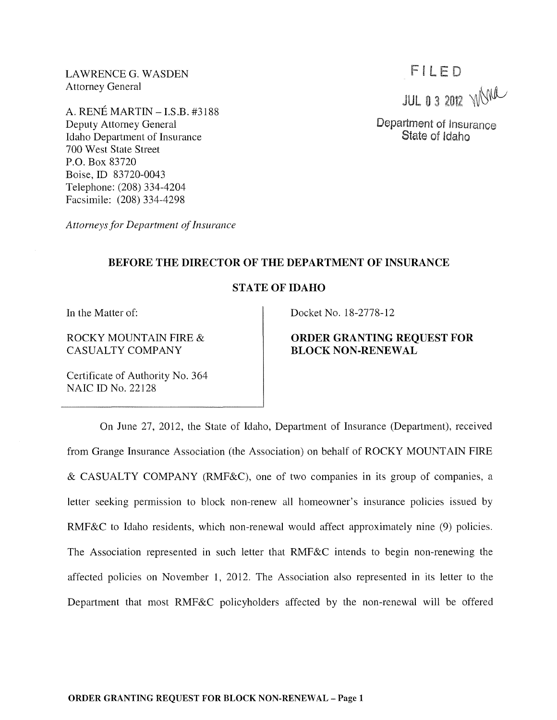LAWRENCE G. WASDEN Attorney General

A. RENE MARTIN - I.S.B. #3188 Deputy Attorney General Idaho Department of Insurance 700 West State Street P.O. Box 83720 Boise, ID 83720-0043 Telephone: (208) 334-4204 Facsimile: (208) 334-4298

*Attorneys for Department of Insurance* 

## BEFORE THE DIRECTOR OF THE DEPARTMENT OF INSURANCE

## STATE OF IDAHO

In the Matter of:

ROCKY MOUNTAIN FIRE & CASUALTY COMPANY

Certificate of Authority No. 364 NAIC ID No. 22128

Docket No. 18-2778-12

# ORDER GRANTING REQUEST FOR BLOCK NON-RENEWAL

On June 27, 2012, the State of Idaho, Department of Insurance (Department), received from Grange Insurance Association (the Association) on behalf of ROCKY MOUNTAIN FIRE & CASUALTY COMPANY (RMF&C), one of two companies in its group of companies, a letter seeking permission to block non-renew all homeowner's insurance policies issued by RMF&C to Idaho residents, which non-renewal would affect approximately nine (9) policies. The Association represented in such letter that RMF&C intends to begin non-renewing the affected policies on November 1, 2012. The Association also represented in its letter to the Department that most RMF&C policyholders affected by the non-renewal will be offered

FILED **JUL 0 3 2012 WORK** 

Department of Insurance State of Idaho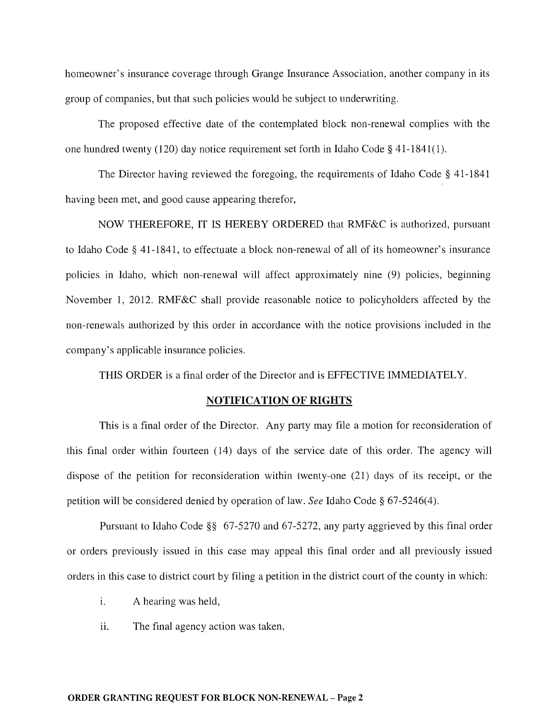homeowner's insurance coverage through Grange Insurance Association, another company in its group of companies, but that such policies would be subject to underwriting.

The proposed effective date of the contemplated block non-renewal complies with the one hundred twenty (120) day notice requirement set forth in Idaho Code § 41-1841(1).

The Director having reviewed the foregoing, the requirements of Idaho Code § 41-1841 having been met, and good cause appearing therefor,

NOW THEREFORE, IT IS HEREBY ORDERED that RMF&C is authorized, pursuant to Idaho Code § 41-1841, to effectuate a block non-renewal of all of its homeowner's insurance policies in Idaho, which non-renewal will affect approximately nine (9) policies, beginning November 1, 2012. RMF&C shall provide reasonable notice to policyholders affected by the non-renewals authorized by this order in accordance with the notice provisions included in the company's applicable insurance policies.

THIS ORDER is a final order of the Director and is EFFECTIVE IMMEDIATELY.

### NOTIFICATION OF RIGHTS

This is a final order of the Director. Any party may file a motion for reconsideration of this final order within fourteen (14) days of the service date of this order. The agency will dispose of the petition for reconsideration within twenty-one (21) days of its receipt, or the petition will be considered denied by operation of law. *See* Idaho Code § 67-5246(4).

Pursuant to Idaho Code §§ 67-5270 and 67-5272, any party aggrieved by this final order or orders previously issued in this case may appeal this final order and all previously issued orders in this case to district court by filing a petition in the district court of the county in which:

- i. A hearing was held,
- ii. The final agency action was taken,

#### ORDER GRANTING REQUEST FOR BLOCK NON-RENEWAL - Page 2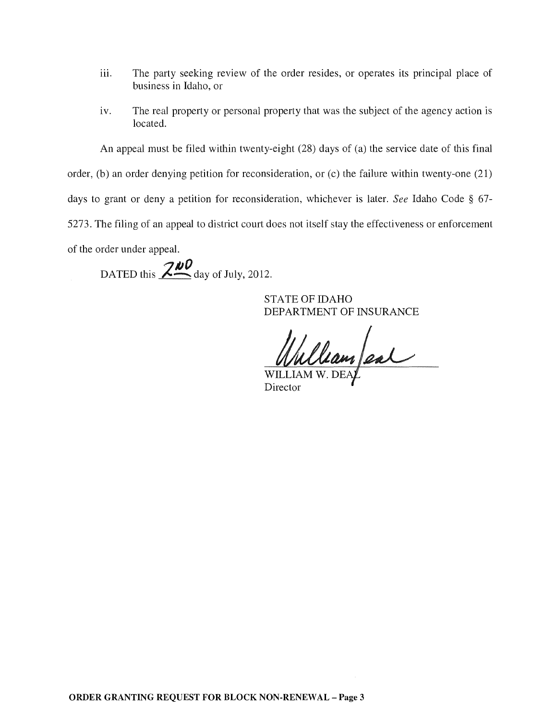- iii. The party seeking review of the order resides, or operates its principal place of business in Idaho, or
- iv. The real property or personal property that was the subject of the agency action is located.

An appeal must be filed within twenty-eight (28) days of (a) the service date of this final

order, (b) an order denying petition for reconsideration, or (c) the failure within twenty-one (21)

days to grant or deny a petition for reconsideration, whichever is later. *See* Idaho Code § 67-

5273. The filing of an appeal to district court does not itself stay the effecti veness or enforcement

of the order under appeal.

DATED this  $\frac{200}{\text{day of July, 2012}}$ .

STATE OF IDAHO DEPARTMENT OF INSURANCE

Wulliam al